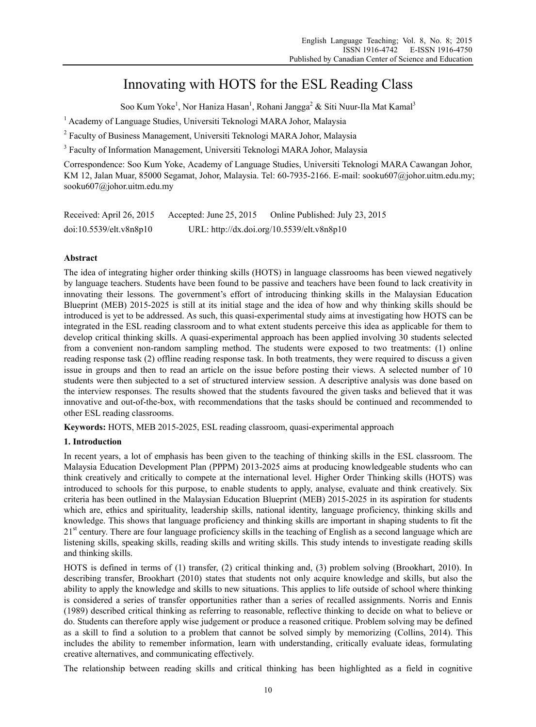# Innovating with HOTS for the ESL Reading Class

Soo Kum Yoke<sup>1</sup>, Nor Haniza Hasan<sup>1</sup>, Rohani Jangga<sup>2</sup> & Siti Nuur-Ila Mat Kamal<sup>3</sup>

<sup>1</sup> Academy of Language Studies, Universiti Teknologi MARA Johor, Malaysia

<sup>2</sup> Faculty of Business Management, Universiti Teknologi MARA Johor, Malaysia

<sup>3</sup> Faculty of Information Management, Universiti Teknologi MARA Johor, Malaysia

Correspondence: Soo Kum Yoke, Academy of Language Studies, Universiti Teknologi MARA Cawangan Johor, KM 12, Jalan Muar, 85000 Segamat, Johor, Malaysia. Tel: 60-7935-2166. E-mail: sooku607@johor.uitm.edu.my; sooku607@johor.uitm.edu.my

| Received: April 26, 2015 | Accepted: June $25, 2015$ | Online Published: July 23, 2015            |
|--------------------------|---------------------------|--------------------------------------------|
| doi:10.5539/elt.v8n8p10  |                           | URL: http://dx.doi.org/10.5539/elt.v8n8p10 |

# **Abstract**

The idea of integrating higher order thinking skills (HOTS) in language classrooms has been viewed negatively by language teachers. Students have been found to be passive and teachers have been found to lack creativity in innovating their lessons. The government's effort of introducing thinking skills in the Malaysian Education Blueprint (MEB) 2015-2025 is still at its initial stage and the idea of how and why thinking skills should be introduced is yet to be addressed. As such, this quasi-experimental study aims at investigating how HOTS can be integrated in the ESL reading classroom and to what extent students perceive this idea as applicable for them to develop critical thinking skills. A quasi-experimental approach has been applied involving 30 students selected from a convenient non-random sampling method. The students were exposed to two treatments: (1) online reading response task (2) offline reading response task. In both treatments, they were required to discuss a given issue in groups and then to read an article on the issue before posting their views. A selected number of 10 students were then subjected to a set of structured interview session. A descriptive analysis was done based on the interview responses. The results showed that the students favoured the given tasks and believed that it was innovative and out-of-the-box, with recommendations that the tasks should be continued and recommended to other ESL reading classrooms.

**Keywords:** HOTS, MEB 2015-2025, ESL reading classroom, quasi-experimental approach

# **1. Introduction**

In recent years, a lot of emphasis has been given to the teaching of thinking skills in the ESL classroom. The Malaysia Education Development Plan (PPPM) 2013-2025 aims at producing knowledgeable students who can think creatively and critically to compete at the international level. Higher Order Thinking skills (HOTS) was introduced to schools for this purpose, to enable students to apply, analyse, evaluate and think creatively. Six criteria has been outlined in the Malaysian Education Blueprint (MEB) 2015-2025 in its aspiration for students which are, ethics and spirituality, leadership skills, national identity, language proficiency, thinking skills and knowledge. This shows that language proficiency and thinking skills are important in shaping students to fit the 21<sup>st</sup> century. There are four language proficiency skills in the teaching of English as a second language which are listening skills, speaking skills, reading skills and writing skills. This study intends to investigate reading skills and thinking skills.

HOTS is defined in terms of (1) transfer, (2) critical thinking and, (3) problem solving (Brookhart, 2010). In describing transfer, Brookhart (2010) states that students not only acquire knowledge and skills, but also the ability to apply the knowledge and skills to new situations. This applies to life outside of school where thinking is considered a series of transfer opportunities rather than a series of recalled assignments. Norris and Ennis (1989) described critical thinking as referring to reasonable, reflective thinking to decide on what to believe or do. Students can therefore apply wise judgement or produce a reasoned critique. Problem solving may be defined as a skill to find a solution to a problem that cannot be solved simply by memorizing (Collins, 2014). This includes the ability to remember information, learn with understanding, critically evaluate ideas, formulating creative alternatives, and communicating effectively.

The relationship between reading skills and critical thinking has been highlighted as a field in cognitive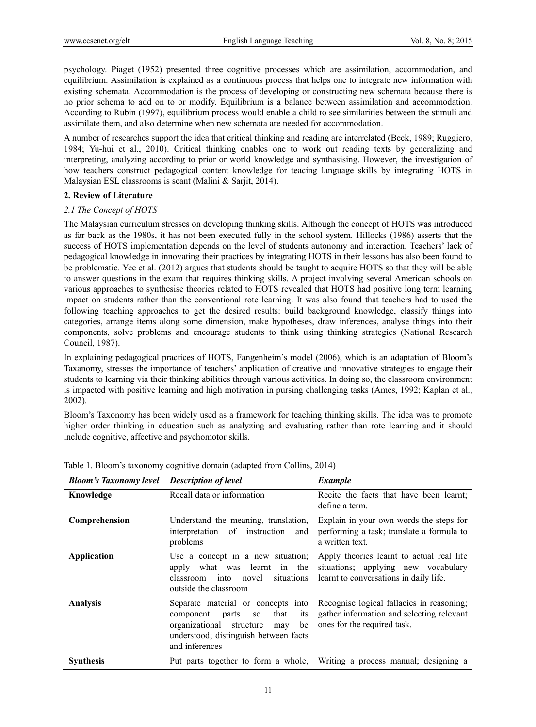psychology. Piaget (1952) presented three cognitive processes which are assimilation, accommodation, and equilibrium. Assimilation is explained as a continuous process that helps one to integrate new information with existing schemata. Accommodation is the process of developing or constructing new schemata because there is no prior schema to add on to or modify. Equilibrium is a balance between assimilation and accommodation. According to Rubin (1997), equilibrium process would enable a child to see similarities between the stimuli and assimilate them, and also determine when new schemata are needed for accommodation.

A number of researches support the idea that critical thinking and reading are interrelated (Beck, 1989; Ruggiero, 1984; Yu-hui et al., 2010). Critical thinking enables one to work out reading texts by generalizing and interpreting, analyzing according to prior or world knowledge and synthasising. However, the investigation of how teachers construct pedagogical content knowledge for teacing language skills by integrating HOTS in Malaysian ESL classrooms is scant (Malini & Sarjit, 2014).

# **2. Review of Literature**

#### *2.1 The Concept of HOTS*

The Malaysian curriculum stresses on developing thinking skills. Although the concept of HOTS was introduced as far back as the 1980s, it has not been executed fully in the school system. Hillocks (1986) asserts that the success of HOTS implementation depends on the level of students autonomy and interaction. Teachers' lack of pedagogical knowledge in innovating their practices by integrating HOTS in their lessons has also been found to be problematic. Yee et al. (2012) argues that students should be taught to acquire HOTS so that they will be able to answer questions in the exam that requires thinking skills. A project involving several American schools on various approaches to synthesise theories related to HOTS revealed that HOTS had positive long term learning impact on students rather than the conventional rote learning. It was also found that teachers had to used the following teaching approaches to get the desired results: build background knowledge, classify things into categories, arrange items along some dimension, make hypotheses, draw inferences, analyse things into their components, solve problems and encourage students to think using thinking strategies (National Research Council, 1987).

In explaining pedagogical practices of HOTS, Fangenheim's model (2006), which is an adaptation of Bloom's Taxanomy, stresses the importance of teachers' application of creative and innovative strategies to engage their students to learning via their thinking abilities through various activities. In doing so, the classroom environment is impacted with positive learning and high motivation in pursing challenging tasks (Ames, 1992; Kaplan et al., 2002).

Bloom's Taxonomy has been widely used as a framework for teaching thinking skills. The idea was to promote higher order thinking in education such as analyzing and evaluating rather than rote learning and it should include cognitive, affective and psychomotor skills.

| <b>Bloom's Taxonomy level</b> | <b>Description of level</b>                                                                                                                                                        | <b>Example</b><br>Recite the facts that have been learnt;<br>define a term.                                                |  |  |
|-------------------------------|------------------------------------------------------------------------------------------------------------------------------------------------------------------------------------|----------------------------------------------------------------------------------------------------------------------------|--|--|
| Knowledge                     | Recall data or information                                                                                                                                                         |                                                                                                                            |  |  |
| Comprehension                 | Understand the meaning, translation,<br>interpretation<br>of instruction<br>and<br>problems                                                                                        | Explain in your own words the steps for<br>performing a task; translate a formula to<br>a written text.                    |  |  |
| <b>Application</b>            | Use a concept in a new situation;<br>apply what was learnt in<br>the<br>situations<br>classroom into<br>novel<br>outside the classroom                                             | Apply theories learnt to actual real life<br>situations; applying new vocabulary<br>learnt to conversations in daily life. |  |  |
| <b>Analysis</b>               | Separate material or concepts into<br>that<br>component<br>parts<br>its<br>SO.<br>organizational structure<br>be<br>may<br>understood; distinguish between facts<br>and inferences | Recognise logical fallacies in reasoning;<br>gather information and selecting relevant<br>ones for the required task.      |  |  |
| <b>Synthesis</b>              |                                                                                                                                                                                    | Put parts together to form a whole, Writing a process manual; designing a                                                  |  |  |

Table 1. Bloom's taxonomy cognitive domain (adapted from Collins, 2014)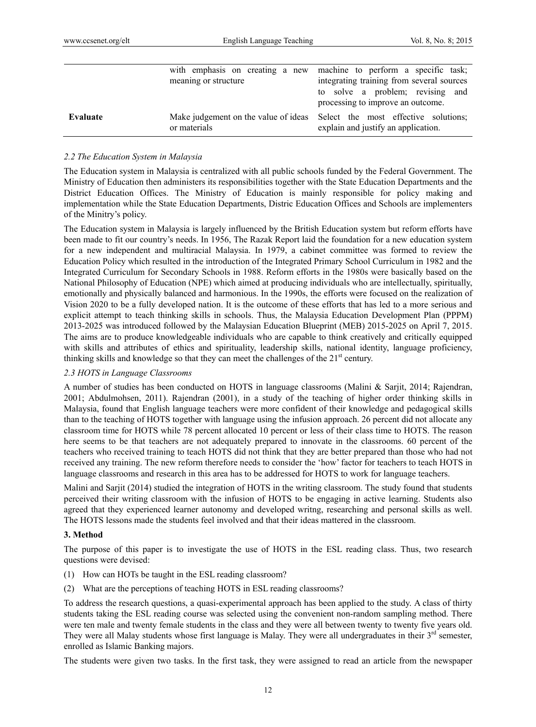|          | with emphasis on creating a new<br>meaning or structure | machine to perform a specific task;<br>integrating training from several sources<br>to solve a problem; revising and<br>processing to improve an outcome. |
|----------|---------------------------------------------------------|-----------------------------------------------------------------------------------------------------------------------------------------------------------|
| Evaluate | or materials                                            | Make judgement on the value of ideas Select the most effective solutions;<br>explain and justify an application.                                          |

#### *2.2 The Education System in Malaysia*

The Education system in Malaysia is centralized with all public schools funded by the Federal Government. The Ministry of Education then administers its responsibilities together with the State Education Departments and the District Education Offices. The Ministry of Education is mainly responsible for policy making and implementation while the State Education Departments, Distric Education Offices and Schools are implementers of the Minitry's policy.

The Education system in Malaysia is largely influenced by the British Education system but reform efforts have been made to fit our country's needs. In 1956, The Razak Report laid the foundation for a new education system for a new independent and multiracial Malaysia. In 1979, a cabinet committee was formed to review the Education Policy which resulted in the introduction of the Integrated Primary School Curriculum in 1982 and the Integrated Curriculum for Secondary Schools in 1988. Reform efforts in the 1980s were basically based on the National Philosophy of Education (NPE) which aimed at producing individuals who are intellectually, spiritually, emotionally and physically balanced and harmonious. In the 1990s, the efforts were focused on the realization of Vision 2020 to be a fully developed nation. It is the outcome of these efforts that has led to a more serious and explicit attempt to teach thinking skills in schools. Thus, the Malaysia Education Development Plan (PPPM) 2013-2025 was introduced followed by the Malaysian Education Blueprint (MEB) 2015-2025 on April 7, 2015. The aims are to produce knowledgeable individuals who are capable to think creatively and critically equipped with skills and attributes of ethics and spirituality, leadership skills, national identity, language proficiency, thinking skills and knowledge so that they can meet the challenges of the  $21<sup>st</sup>$  century.

#### *2.3 HOTS in Language Classrooms*

A number of studies has been conducted on HOTS in language classrooms (Malini & Sarjit, 2014; Rajendran, 2001; Abdulmohsen, 2011). Rajendran (2001), in a study of the teaching of higher order thinking skills in Malaysia, found that English language teachers were more confident of their knowledge and pedagogical skills than to the teaching of HOTS together with language using the infusion approach. 26 percent did not allocate any classroom time for HOTS while 78 percent allocated 10 percent or less of their class time to HOTS. The reason here seems to be that teachers are not adequately prepared to innovate in the classrooms. 60 percent of the teachers who received training to teach HOTS did not think that they are better prepared than those who had not received any training. The new reform therefore needs to consider the 'how' factor for teachers to teach HOTS in language classrooms and research in this area has to be addressed for HOTS to work for language teachers.

Malini and Sarjit (2014) studied the integration of HOTS in the writing classroom. The study found that students perceived their writing classroom with the infusion of HOTS to be engaging in active learning. Students also agreed that they experienced learner autonomy and developed writng, researching and personal skills as well. The HOTS lessons made the students feel involved and that their ideas mattered in the classroom.

#### **3. Method**

The purpose of this paper is to investigate the use of HOTS in the ESL reading class. Thus, two research questions were devised:

- (1) How can HOTs be taught in the ESL reading classroom?
- (2) What are the perceptions of teaching HOTS in ESL reading classrooms?

To address the research questions, a quasi-experimental approach has been applied to the study. A class of thirty students taking the ESL reading course was selected using the convenient non-random sampling method. There were ten male and twenty female students in the class and they were all between twenty to twenty five years old. They were all Malay students whose first language is Malay. They were all undergraduates in their 3<sup>rd</sup> semester, enrolled as Islamic Banking majors.

The students were given two tasks. In the first task, they were assigned to read an article from the newspaper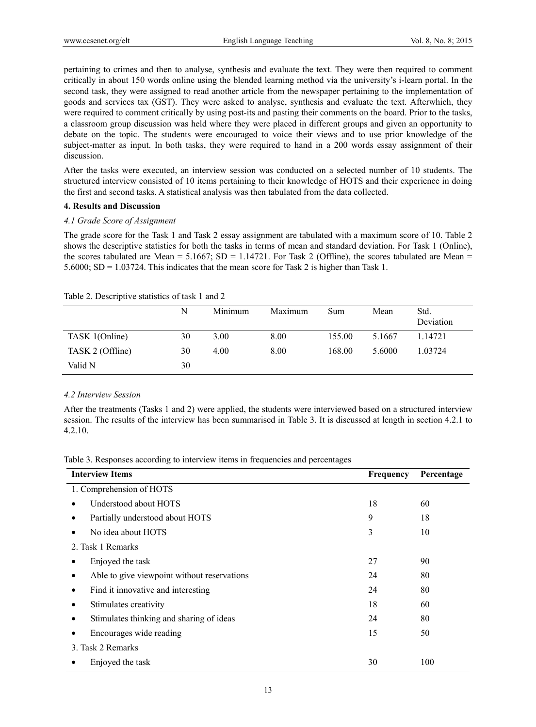pertaining to crimes and then to analyse, synthesis and evaluate the text. They were then required to comment critically in about 150 words online using the blended learning method via the university's i-learn portal. In the second task, they were assigned to read another article from the newspaper pertaining to the implementation of goods and services tax (GST). They were asked to analyse, synthesis and evaluate the text. Afterwhich, they were required to comment critically by using post-its and pasting their comments on the board. Prior to the tasks, a classroom group discussion was held where they were placed in different groups and given an opportunity to debate on the topic. The students were encouraged to voice their views and to use prior knowledge of the subject-matter as input. In both tasks, they were required to hand in a 200 words essay assignment of their discussion.

After the tasks were executed, an interview session was conducted on a selected number of 10 students. The structured interview consisted of 10 items pertaining to their knowledge of HOTS and their experience in doing the first and second tasks. A statistical analysis was then tabulated from the data collected.

#### **4. Results and Discussion**

#### *4.1 Grade Score of Assignment*

The grade score for the Task 1 and Task 2 essay assignment are tabulated with a maximum score of 10. Table 2 shows the descriptive statistics for both the tasks in terms of mean and standard deviation. For Task 1 (Online), the scores tabulated are Mean =  $5.1667$ ; SD =  $1.14721$ . For Task 2 (Offline), the scores tabulated are Mean = 5.6000; SD = 1.03724. This indicates that the mean score for Task 2 is higher than Task 1.

|                  | N  | Minimum | Maximum | Sum    | Mean   | Std.<br>Deviation |
|------------------|----|---------|---------|--------|--------|-------------------|
| TASK 1(Online)   | 30 | 3.00    | 8.00    | 155.00 | 5.1667 | 1.14721           |
| TASK 2 (Offline) | 30 | 4.00    | 8.00    | 168.00 | 5.6000 | 1.03724           |
| Valid N          | 30 |         |         |        |        |                   |

Table 2. Descriptive statistics of task 1 and 2

# *4.2 Interview Session*

After the treatments (Tasks 1 and 2) were applied, the students were interviewed based on a structured interview session. The results of the interview has been summarised in Table 3. It is discussed at length in section 4.2.1 to 4.2.10.

|  |  |  | Table 3. Responses according to interview items in frequencies and percentages |
|--|--|--|--------------------------------------------------------------------------------|
|  |  |  |                                                                                |

| <b>Interview Items</b>                      | Frequency | Percentage |
|---------------------------------------------|-----------|------------|
| 1. Comprehension of HOTS                    |           |            |
| Understood about HOTS                       | 18        | 60         |
| Partially understood about HOTS             | 9         | 18         |
| No idea about HOTS                          | 3         | 10         |
| 2. Task 1 Remarks                           |           |            |
| Enjoyed the task                            | 27        | 90         |
| Able to give viewpoint without reservations | 24        | 80         |
| Find it innovative and interesting          | 24        | 80         |
| Stimulates creativity                       | 18        | 60         |
| Stimulates thinking and sharing of ideas    | 24        | 80         |
| Encourages wide reading                     | 15        | 50         |
| 3. Task 2 Remarks                           |           |            |
| Enjoyed the task                            | 30        | 100        |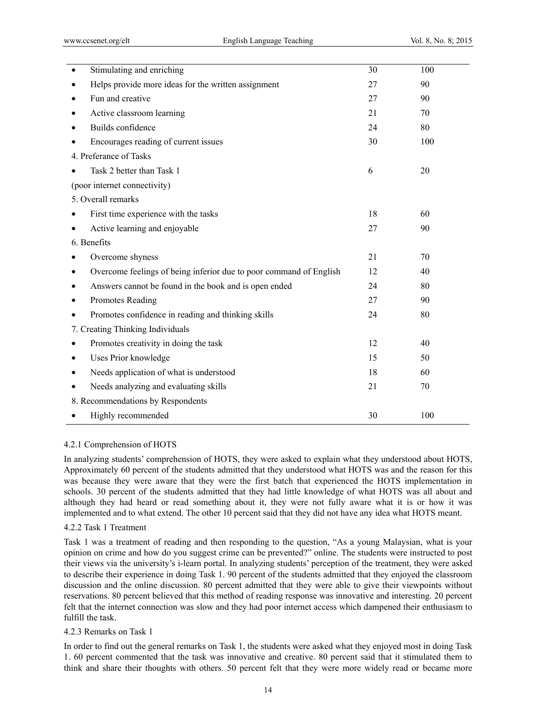| $\bullet$ | Stimulating and enriching                                          | 30 | 100 |
|-----------|--------------------------------------------------------------------|----|-----|
| $\bullet$ | Helps provide more ideas for the written assignment                | 27 | 90  |
| $\bullet$ | Fun and creative                                                   | 27 | 90  |
| $\bullet$ | Active classroom learning                                          | 21 | 70  |
| $\bullet$ | Builds confidence                                                  | 24 | 80  |
| $\bullet$ | Encourages reading of current issues                               | 30 | 100 |
|           | 4. Preferance of Tasks                                             |    |     |
|           | Task 2 better than Task 1                                          | 6  | 20  |
|           | (poor internet connectivity)                                       |    |     |
|           | 5. Overall remarks                                                 |    |     |
| $\bullet$ | First time experience with the tasks                               | 18 | 60  |
| $\bullet$ | Active learning and enjoyable                                      | 27 | 90  |
|           | 6. Benefits                                                        |    |     |
| $\bullet$ | Overcome shyness                                                   | 21 | 70  |
| $\bullet$ | Overcome feelings of being inferior due to poor command of English | 12 | 40  |
| $\bullet$ | Answers cannot be found in the book and is open ended              | 24 | 80  |
| ٠         | Promotes Reading                                                   | 27 | 90  |
| $\bullet$ | Promotes confidence in reading and thinking skills                 | 24 | 80  |
|           | 7. Creating Thinking Individuals                                   |    |     |
| $\bullet$ | Promotes creativity in doing the task                              | 12 | 40  |
| $\bullet$ | Uses Prior knowledge                                               | 15 | 50  |
| $\bullet$ | Needs application of what is understood                            | 18 | 60  |
| $\bullet$ | Needs analyzing and evaluating skills                              | 21 | 70  |
|           | 8. Recommendations by Respondents                                  |    |     |
|           | Highly recommended                                                 | 30 | 100 |
|           |                                                                    |    |     |

# 4.2.1 Comprehension of HOTS

In analyzing students' comprehension of HOTS, they were asked to explain what they understood about HOTS, Approximately 60 percent of the students admitted that they understood what HOTS was and the reason for this was because they were aware that they were the first batch that experienced the HOTS implementation in schools. 30 percent of the students admitted that they had little knowledge of what HOTS was all about and although they had heard or read something about it, they were not fully aware what it is or how it was implemented and to what extend. The other 10 percent said that they did not have any idea what HOTS meant.

#### 4.2.2 Task 1 Treatment

Task 1 was a treatment of reading and then responding to the question, "As a young Malaysian, what is your opinion on crime and how do you suggest crime can be prevented?" online. The students were instructed to post their views via the university's i-learn portal. In analyzing students' perception of the treatment, they were asked to describe their experience in doing Task 1. 90 percent of the students admitted that they enjoyed the classroom discussion and the online discussion. 80 percent admitted that they were able to give their viewpoints without reservations. 80 percent believed that this method of reading response was innovative and interesting. 20 percent felt that the internet connection was slow and they had poor internet access which dampened their enthusiasm to fulfill the task.

#### 4.2.3 Remarks on Task 1

In order to find out the general remarks on Task 1, the students were asked what they enjoyed most in doing Task 1. 60 percent commented that the task was innovative and creative. 80 percent said that it stimulated them to think and share their thoughts with others. 50 percent felt that they were more widely read or became more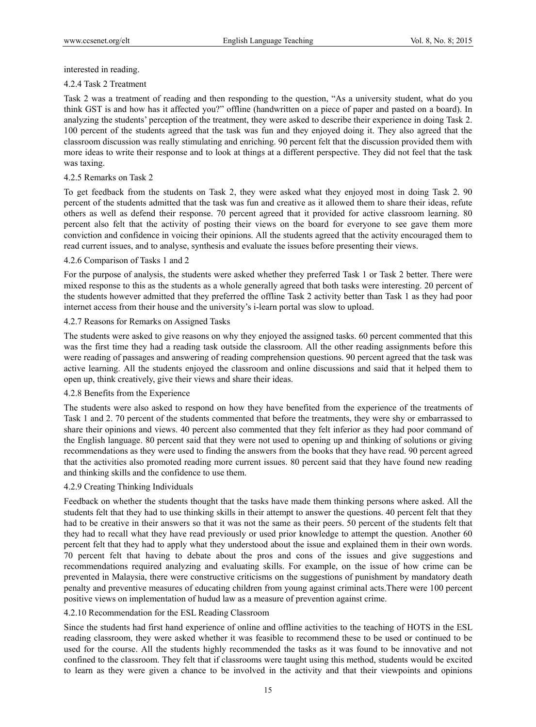interested in reading.

### 4.2.4 Task 2 Treatment

Task 2 was a treatment of reading and then responding to the question, "As a university student, what do you think GST is and how has it affected you?" offline (handwritten on a piece of paper and pasted on a board). In analyzing the students' perception of the treatment, they were asked to describe their experience in doing Task 2. 100 percent of the students agreed that the task was fun and they enjoyed doing it. They also agreed that the classroom discussion was really stimulating and enriching. 90 percent felt that the discussion provided them with more ideas to write their response and to look at things at a different perspective. They did not feel that the task was taxing.

# 4.2.5 Remarks on Task 2

To get feedback from the students on Task 2, they were asked what they enjoyed most in doing Task 2. 90 percent of the students admitted that the task was fun and creative as it allowed them to share their ideas, refute others as well as defend their response. 70 percent agreed that it provided for active classroom learning. 80 percent also felt that the activity of posting their views on the board for everyone to see gave them more conviction and confidence in voicing their opinions. All the students agreed that the activity encouraged them to read current issues, and to analyse, synthesis and evaluate the issues before presenting their views.

# 4.2.6 Comparison of Tasks 1 and 2

For the purpose of analysis, the students were asked whether they preferred Task 1 or Task 2 better. There were mixed response to this as the students as a whole generally agreed that both tasks were interesting. 20 percent of the students however admitted that they preferred the offline Task 2 activity better than Task 1 as they had poor internet access from their house and the university's i-learn portal was slow to upload.

# 4.2.7 Reasons for Remarks on Assigned Tasks

The students were asked to give reasons on why they enjoyed the assigned tasks. 60 percent commented that this was the first time they had a reading task outside the classroom. All the other reading assignments before this were reading of passages and answering of reading comprehension questions. 90 percent agreed that the task was active learning. All the students enjoyed the classroom and online discussions and said that it helped them to open up, think creatively, give their views and share their ideas.

# 4.2.8 Benefits from the Experience

The students were also asked to respond on how they have benefited from the experience of the treatments of Task 1 and 2. 70 percent of the students commented that before the treatments, they were shy or embarrassed to share their opinions and views. 40 percent also commented that they felt inferior as they had poor command of the English language. 80 percent said that they were not used to opening up and thinking of solutions or giving recommendations as they were used to finding the answers from the books that they have read. 90 percent agreed that the activities also promoted reading more current issues. 80 percent said that they have found new reading and thinking skills and the confidence to use them.

# 4.2.9 Creating Thinking Individuals

Feedback on whether the students thought that the tasks have made them thinking persons where asked. All the students felt that they had to use thinking skills in their attempt to answer the questions. 40 percent felt that they had to be creative in their answers so that it was not the same as their peers. 50 percent of the students felt that they had to recall what they have read previously or used prior knowledge to attempt the question. Another 60 percent felt that they had to apply what they understood about the issue and explained them in their own words. 70 percent felt that having to debate about the pros and cons of the issues and give suggestions and recommendations required analyzing and evaluating skills. For example, on the issue of how crime can be prevented in Malaysia, there were constructive criticisms on the suggestions of punishment by mandatory death penalty and preventive measures of educating children from young against criminal acts.There were 100 percent positive views on implementation of hudud law as a measure of prevention against crime.

# 4.2.10 Recommendation for the ESL Reading Classroom

Since the students had first hand experience of online and offline activities to the teaching of HOTS in the ESL reading classroom, they were asked whether it was feasible to recommend these to be used or continued to be used for the course. All the students highly recommended the tasks as it was found to be innovative and not confined to the classroom. They felt that if classrooms were taught using this method, students would be excited to learn as they were given a chance to be involved in the activity and that their viewpoints and opinions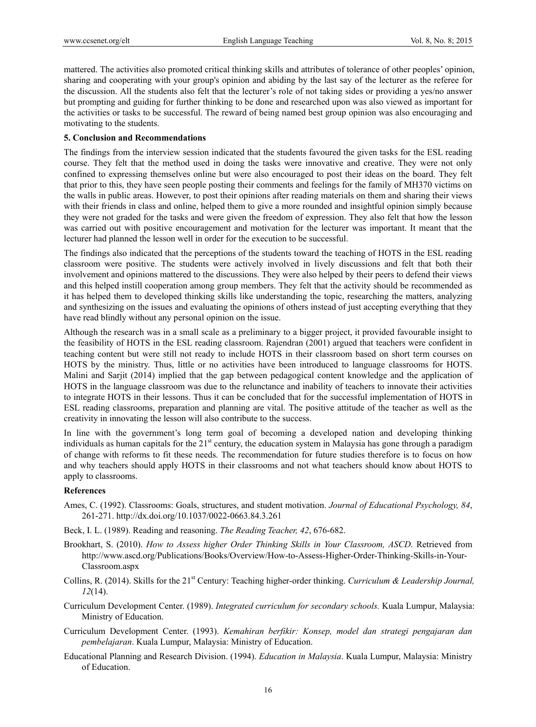mattered. The activities also promoted critical thinking skills and attributes of tolerance of other peoples' opinion, sharing and cooperating with your group's opinion and abiding by the last say of the lecturer as the referee for the discussion. All the students also felt that the lecturer's role of not taking sides or providing a yes/no answer but prompting and guiding for further thinking to be done and researched upon was also viewed as important for the activities or tasks to be successful. The reward of being named best group opinion was also encouraging and motivating to the students.

## **5. Conclusion and Recommendations**

The findings from the interview session indicated that the students favoured the given tasks for the ESL reading course. They felt that the method used in doing the tasks were innovative and creative. They were not only confined to expressing themselves online but were also encouraged to post their ideas on the board. They felt that prior to this, they have seen people posting their comments and feelings for the family of MH370 victims on the walls in public areas. However, to post their opinions after reading materials on them and sharing their views with their friends in class and online, helped them to give a more rounded and insightful opinion simply because they were not graded for the tasks and were given the freedom of expression. They also felt that how the lesson was carried out with positive encouragement and motivation for the lecturer was important. It meant that the lecturer had planned the lesson well in order for the execution to be successful.

The findings also indicated that the perceptions of the students toward the teaching of HOTS in the ESL reading classroom were positive. The students were actively involved in lively discussions and felt that both their involvement and opinions mattered to the discussions. They were also helped by their peers to defend their views and this helped instill cooperation among group members. They felt that the activity should be recommended as it has helped them to developed thinking skills like understanding the topic, researching the matters, analyzing and synthesizing on the issues and evaluating the opinions of others instead of just accepting everything that they have read blindly without any personal opinion on the issue.

Although the research was in a small scale as a preliminary to a bigger project, it provided favourable insight to the feasibility of HOTS in the ESL reading classroom. Rajendran (2001) argued that teachers were confident in teaching content but were still not ready to include HOTS in their classroom based on short term courses on HOTS by the ministry. Thus, little or no activities have been introduced to language classrooms for HOTS. Malini and Sarjit (2014) implied that the gap between pedagogical content knowledge and the application of HOTS in the language classroom was due to the relunctance and inability of teachers to innovate their activities to integrate HOTS in their lessons. Thus it can be concluded that for the successful implementation of HOTS in ESL reading classrooms, preparation and planning are vital. The positive attitude of the teacher as well as the creativity in innovating the lesson will also contribute to the success.

In line with the government's long term goal of becoming a developed nation and developing thinking individuals as human capitals for the  $21<sup>st</sup>$  century, the education system in Malaysia has gone through a paradigm of change with reforms to fit these needs. The recommendation for future studies therefore is to focus on how and why teachers should apply HOTS in their classrooms and not what teachers should know about HOTS to apply to classrooms.

# **References**

- Ames, C. (1992). Classrooms: Goals, structures, and student motivation. *Journal of Educational Psychology, 84*, 261-271. http://dx.doi.org/10.1037/0022-0663.84.3.261
- Beck, I. L. (1989). Reading and reasoning. *The Reading Teacher, 42*, 676-682.
- Brookhart, S. (2010). *How to Assess higher Order Thinking Skills in Your Classroom, ASCD*. Retrieved from http://www.ascd.org/Publications/Books/Overview/How-to-Assess-Higher-Order-Thinking-Skills-in-Your-Classroom.aspx
- Collins, R. (2014). Skills for the 21st Century: Teaching higher-order thinking. *Curriculum & Leadership Journal, 12*(14).
- Curriculum Development Center. (1989). *Integrated curriculum for secondary schools.* Kuala Lumpur, Malaysia: Ministry of Education.
- Curriculum Development Center. (1993). *Kemahiran berfikir: Konsep, model dan strategi pengajaran dan pembelajaran*. Kuala Lumpur, Malaysia: Ministry of Education.
- Educational Planning and Research Division. (1994). *Education in Malaysia*. Kuala Lumpur, Malaysia: Ministry of Education.